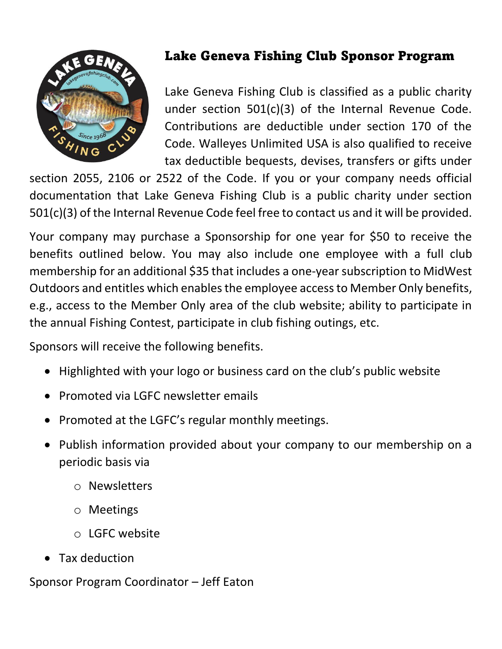

## Lake Geneva Fishing Club Sponsor Program

Lake Geneva Fishing Club is classified as a public charity under section 501(c)(3) of the Internal Revenue Code. Contributions are deductible under section 170 of the Code. Walleyes Unlimited USA is also qualified to receive tax deductible bequests, devises, transfers or gifts under

section 2055, 2106 or 2522 of the Code. If you or your company needs official documentation that Lake Geneva Fishing Club is a public charity under section 501(c)(3) of the Internal Revenue Code feel free to contact us and it will be provided.

Your company may purchase a Sponsorship for one year for \$50 to receive the benefits outlined below. You may also include one employee with a full club membership for an additional \$35 that includes a one-year subscription to MidWest Outdoors and entitles which enables the employee accessto Member Only benefits, e.g., access to the Member Only area of the club website; ability to participate in the annual Fishing Contest, participate in club fishing outings, etc.

Sponsors will receive the following benefits.

- Highlighted with your logo or business card on the club's public website
- Promoted via LGFC newsletter emails
- Promoted at the LGFC's regular monthly meetings.
- Publish information provided about your company to our membership on a periodic basis via
	- o Newsletters
	- o Meetings
	- o LGFC website
- Tax deduction

Sponsor Program Coordinator – Jeff Eaton